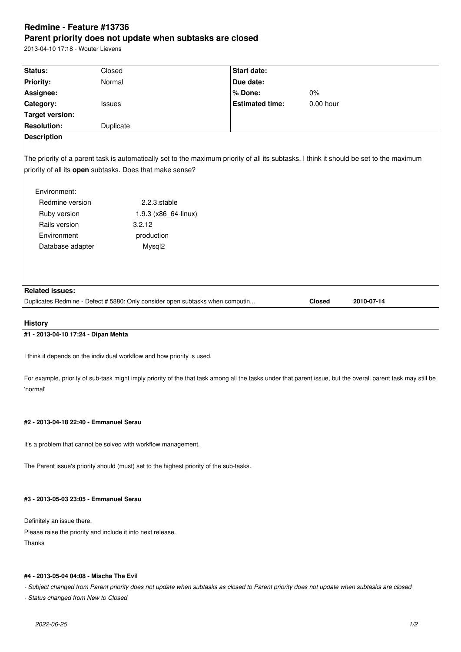# **Redmine - Feature #13736 Parent priority does not update when subtasks are closed**

2013-04-10 17:18 - Wouter Lievens

| Status:                                                                       | Closed               | <b>Start date:</b>     |                                                                                                                                         |
|-------------------------------------------------------------------------------|----------------------|------------------------|-----------------------------------------------------------------------------------------------------------------------------------------|
| <b>Priority:</b>                                                              | Normal               | Due date:              |                                                                                                                                         |
| Assignee:                                                                     |                      | % Done:                | 0%                                                                                                                                      |
| Category:                                                                     | <b>Issues</b>        | <b>Estimated time:</b> | $0.00$ hour                                                                                                                             |
| <b>Target version:</b>                                                        |                      |                        |                                                                                                                                         |
| <b>Resolution:</b>                                                            | Duplicate            |                        |                                                                                                                                         |
| <b>Description</b>                                                            |                      |                        |                                                                                                                                         |
|                                                                               |                      |                        |                                                                                                                                         |
|                                                                               |                      |                        | The priority of a parent task is automatically set to the maximum priority of all its subtasks. I think it should be set to the maximum |
| priority of all its open subtasks. Does that make sense?                      |                      |                        |                                                                                                                                         |
|                                                                               |                      |                        |                                                                                                                                         |
| Environment:                                                                  |                      |                        |                                                                                                                                         |
| Redmine version                                                               | 2.2.3.stable         |                        |                                                                                                                                         |
| Ruby version                                                                  | 1.9.3 (x86_64-linux) |                        |                                                                                                                                         |
| Rails version                                                                 | 3.2.12               |                        |                                                                                                                                         |
| Environment                                                                   | production           |                        |                                                                                                                                         |
| Database adapter                                                              | Mysql <sub>2</sub>   |                        |                                                                                                                                         |
|                                                                               |                      |                        |                                                                                                                                         |
|                                                                               |                      |                        |                                                                                                                                         |
|                                                                               |                      |                        |                                                                                                                                         |
| <b>Related issues:</b>                                                        |                      |                        |                                                                                                                                         |
| Duplicates Redmine - Defect # 5880: Only consider open subtasks when computin |                      |                        | <b>Closed</b><br>2010-07-14                                                                                                             |
|                                                                               |                      |                        |                                                                                                                                         |
| <b>History</b>                                                                |                      |                        |                                                                                                                                         |

#### **#1 - 2013-04-10 17:24 - Dipan Mehta**

I think it depends on the individual workflow and how priority is used.

For example, priority of sub-task might imply priority of the that task among all the tasks under that parent issue, but the overall parent task may still be 'normal'

### **#2 - 2013-04-18 22:40 - Emmanuel Serau**

It's a problem that cannot be solved with workflow management.

The Parent issue's priority should (must) set to the highest priority of the sub-tasks.

## **#3 - 2013-05-03 23:05 - Emmanuel Serau**

Definitely an issue there.

Please raise the priority and include it into next release. Thanks

#### **#4 - 2013-05-04 04:08 - Mischa The Evil**

*- Subject changed from Parent priority does not update when subtasks as closed to Parent priority does not update when subtasks are closed*

*- Status changed from New to Closed*